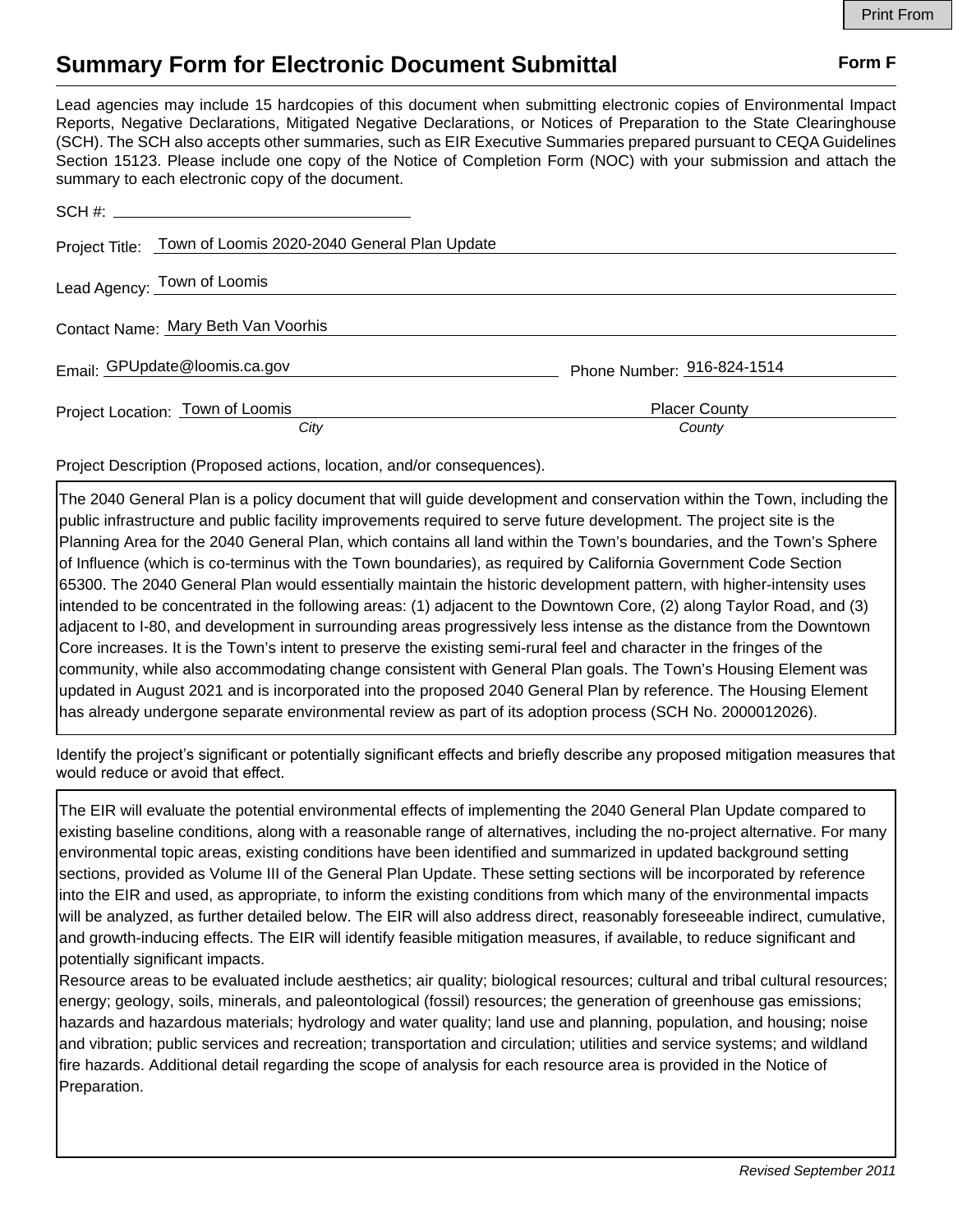## **Summary Form for Electronic Document Submittal Form F Form F**

Lead agencies may include 15 hardcopies of this document when submitting electronic copies of Environmental Impact Reports, Negative Declarations, Mitigated Negative Declarations, or Notices of Preparation to the State Clearinghouse (SCH). The SCH also accepts other summaries, such as EIR Executive Summaries prepared pursuant to CEQA Guidelines Section 15123. Please include one copy of the Notice of Completion Form (NOC) with your submission and attach the summary to each electronic copy of the document.

| Project Title: Town of Loomis 2020-2040 General Plan Update |                                |
|-------------------------------------------------------------|--------------------------------|
| Lead Agency: Town of Loomis                                 |                                |
| Contact Name: Mary Beth Van Voorhis                         |                                |
| Email: GPUpdate@loomis.ca.gov                               | Phone Number: 916-824-1514     |
| Project Location: Town of Loomis<br>City                    | <b>Placer County</b><br>County |

Project Description (Proposed actions, location, and/or consequences).

The 2040 General Plan is a policy document that will guide development and conservation within the Town, including the public infrastructure and public facility improvements required to serve future development. The project site is the Planning Area for the 2040 General Plan, which contains all land within the Town's boundaries, and the Town's Sphere of Influence (which is co-terminus with the Town boundaries), as required by California Government Code Section 65300. The 2040 General Plan would essentially maintain the historic development pattern, with higher-intensity uses intended to be concentrated in the following areas: (1) adjacent to the Downtown Core, (2) along Taylor Road, and (3) adjacent to I-80, and development in surrounding areas progressively less intense as the distance from the Downtown Core increases. It is the Town's intent to preserve the existing semi-rural feel and character in the fringes of the community, while also accommodating change consistent with General Plan goals. The Town's Housing Element was updated in August 2021 and is incorporated into the proposed 2040 General Plan by reference. The Housing Element has already undergone separate environmental review as part of its adoption process (SCH No. 2000012026).

Identify the project's significant or potentially significant effects and briefly describe any proposed mitigation measures that would reduce or avoid that effect.

The EIR will evaluate the potential environmental effects of implementing the 2040 General Plan Update compared to existing baseline conditions, along with a reasonable range of alternatives, including the no-project alternative. For many environmental topic areas, existing conditions have been identified and summarized in updated background setting sections, provided as Volume III of the General Plan Update. These setting sections will be incorporated by reference into the EIR and used, as appropriate, to inform the existing conditions from which many of the environmental impacts will be analyzed, as further detailed below. The EIR will also address direct, reasonably foreseeable indirect, cumulative, and growth-inducing effects. The EIR will identify feasible mitigation measures, if available, to reduce significant and potentially significant impacts.

Resource areas to be evaluated include aesthetics; air quality; biological resources; cultural and tribal cultural resources; energy; geology, soils, minerals, and paleontological (fossil) resources; the generation of greenhouse gas emissions; hazards and hazardous materials; hydrology and water quality; land use and planning, population, and housing; noise and vibration; public services and recreation; transportation and circulation; utilities and service systems; and wildland fire hazards. Additional detail regarding the scope of analysis for each resource area is provided in the Notice of Preparation.